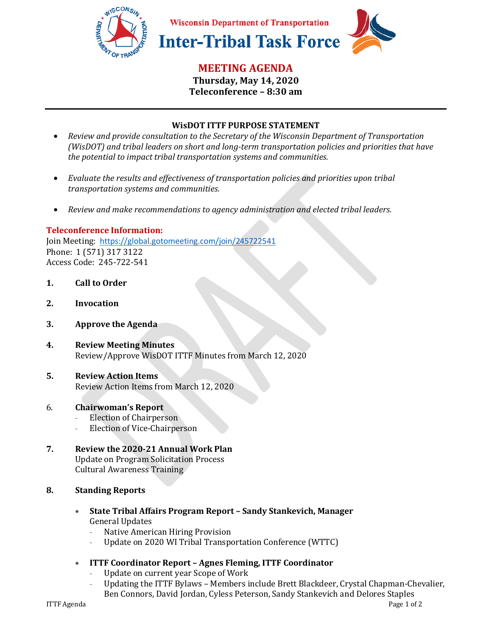

# **MEETING AGENDA**

**Thursday, May 14, 2020 Teleconference – 8:30 am** 

## **WisDOT ITTF PURPOSE STATEMENT**

- *Review and provide consultation to the Secretary of the Wisconsin Department of Transportation (WisDOT) and tribal leaders on short and long-term transportation policies and priorities that have the potential to impact tribal transportation systems and communities.*
- *Evaluate the results and effectiveness of transportation policies and priorities upon tribal transportation systems and communities.*
- *Review and make recommendations to agency administration and elected tribal leaders.*

## **Teleconference Information:**

Join Meeting: https://global.gotomeeting.com/join/245722541 Phone: 1 (571) 317 3122 Access Code: 245-722-541

- **1. Call to Order**
- **2. Invocation**
- **3. Approve the Agenda**
- **4. Review Meeting Minutes**  Review/Approve WisDOT ITTF Minutes from March 12, 2020

## **5. Review Action Items**  Review Action Items from March 12, 2020

## 6. **Chairwoman's Report**

- Election of Chairperson
- Election of Vice-Chairperson

## **7. Review the 2020-21 Annual Work Plan**  Update on Program Solicitation Process Cultural Awareness Training

## **8. Standing Reports**

- **State Tribal Affairs Program Report Sandy Stankevich, Manager**  General Updates
	- Native American Hiring Provision
	- Update on 2020 WI Tribal Transportation Conference (WTTC)
- **ITTF Coordinator Report Agnes Fleming, ITTF Coordinator** 
	- Update on current year Scope of Work
	- Updating the ITTF Bylaws Members include Brett Blackdeer, Crystal Chapman-Chevalier, Ben Connors, David Jordan, Cyless Peterson, Sandy Stankevich and Delores Staples